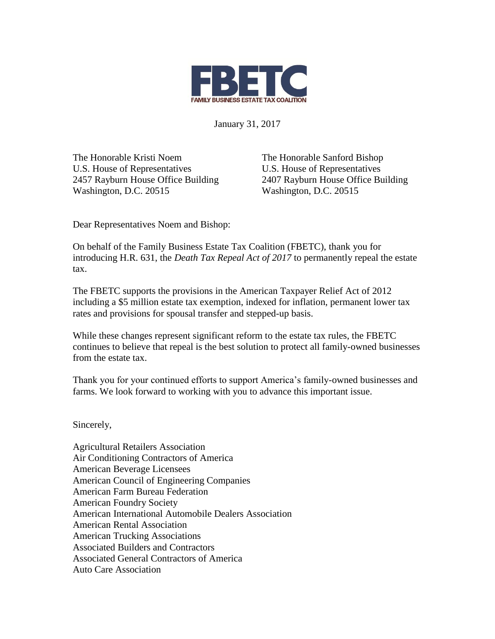

January 31, 2017

The Honorable Kristi Noem U.S. House of Representatives 2457 Rayburn House Office Building Washington, D.C. 20515

The Honorable Sanford Bishop U.S. House of Representatives 2407 Rayburn House Office Building Washington, D.C. 20515

Dear Representatives Noem and Bishop:

On behalf of the Family Business Estate Tax Coalition (FBETC), thank you for introducing H.R. 631, the *Death Tax Repeal Act of 2017* to permanently repeal the estate tax.

The FBETC supports the provisions in the American Taxpayer Relief Act of 2012 including a \$5 million estate tax exemption, indexed for inflation, permanent lower tax rates and provisions for spousal transfer and stepped-up basis.

While these changes represent significant reform to the estate tax rules, the FBETC continues to believe that repeal is the best solution to protect all family-owned businesses from the estate tax.

Thank you for your continued efforts to support America's family-owned businesses and farms. We look forward to working with you to advance this important issue.

Sincerely,

Agricultural Retailers Association Air Conditioning Contractors of America American Beverage Licensees American Council of Engineering Companies American Farm Bureau Federation American Foundry Society American International Automobile Dealers Association American Rental Association American Trucking Associations Associated Builders and Contractors Associated General Contractors of America Auto Care Association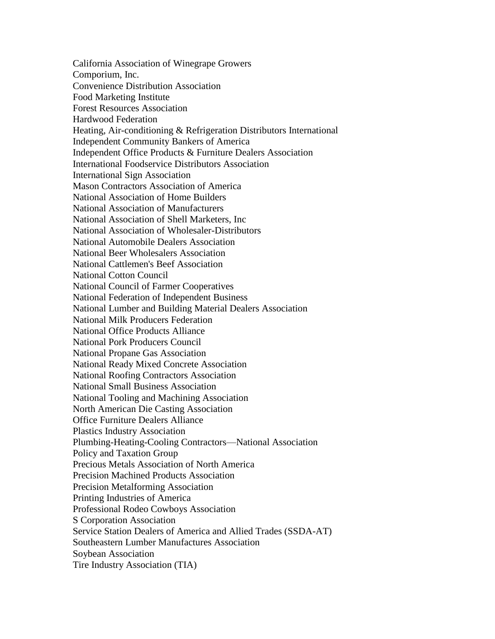California Association of Winegrape Growers Comporium, Inc. Convenience Distribution Association Food Marketing Institute Forest Resources Association Hardwood Federation Heating, Air-conditioning & Refrigeration Distributors International Independent Community Bankers of America Independent Office Products & Furniture Dealers Association International Foodservice Distributors Association International Sign Association Mason Contractors Association of America National Association of Home Builders National Association of Manufacturers National Association of Shell Marketers, Inc National Association of Wholesaler-Distributors National Automobile Dealers Association National Beer Wholesalers Association National Cattlemen's Beef Association National Cotton Council National Council of Farmer Cooperatives National Federation of Independent Business National Lumber and Building Material Dealers Association National Milk Producers Federation National Office Products Alliance National Pork Producers Council National Propane Gas Association National Ready Mixed Concrete Association National Roofing Contractors Association National Small Business Association National Tooling and Machining Association North American Die Casting Association Office Furniture Dealers Alliance Plastics Industry Association Plumbing-Heating-Cooling Contractors—National Association Policy and Taxation Group Precious Metals Association of North America Precision Machined Products Association Precision Metalforming Association Printing Industries of America Professional Rodeo Cowboys Association S Corporation Association Service Station Dealers of America and Allied Trades (SSDA-AT) Southeastern Lumber Manufactures Association Soybean Association Tire Industry Association (TIA)